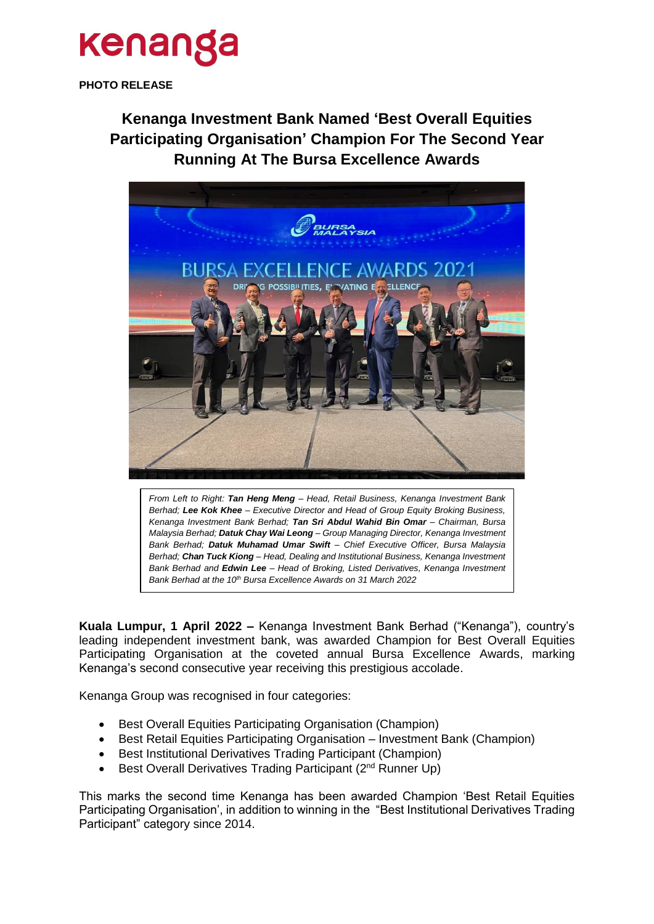## kenanga

**PHOTO RELEASE**

**Kenanga Investment Bank Named 'Best Overall Equities Participating Organisation' Champion For The Second Year Running At The Bursa Excellence Awards**



*From Left to Right: Tan Heng Meng – Head, Retail Business, Kenanga Investment Bank Berhad; Lee Kok Khee – Executive Director and Head of Group Equity Broking Business, Kenanga Investment Bank Berhad; Tan Sri Abdul Wahid Bin Omar – Chairman, Bursa Malaysia Berhad; Datuk Chay Wai Leong – Group Managing Director, Kenanga Investment Bank Berhad; Datuk Muhamad Umar Swift – Chief Executive Officer, Bursa Malaysia Berhad; Chan Tuck Kiong – Head, Dealing and Institutional Business, Kenanga Investment Bank Berhad and Edwin Lee – Head of Broking, Listed Derivatives, Kenanga Investment Bank Berhad at the 10th Bursa Excellence Awards on 31 March 2022*

**Kuala Lumpur, 1 April 2022 –** Kenanga Investment Bank Berhad ("Kenanga"), country's leading independent investment bank, was awarded Champion for Best Overall Equities Participating Organisation at the coveted annual Bursa Excellence Awards, marking Kenanga's second consecutive year receiving this prestigious accolade.

Kenanga Group was recognised in four categories:

- Best Overall Equities Participating Organisation (Champion)
- Best Retail Equities Participating Organisation Investment Bank (Champion)
- Best Institutional Derivatives Trading Participant (Champion)
- Best Overall Derivatives Trading Participant (2<sup>nd</sup> Runner Up)

This marks the second time Kenanga has been awarded Champion 'Best Retail Equities Participating Organisation', in addition to winning in the "Best Institutional Derivatives Trading Participant" category since 2014.